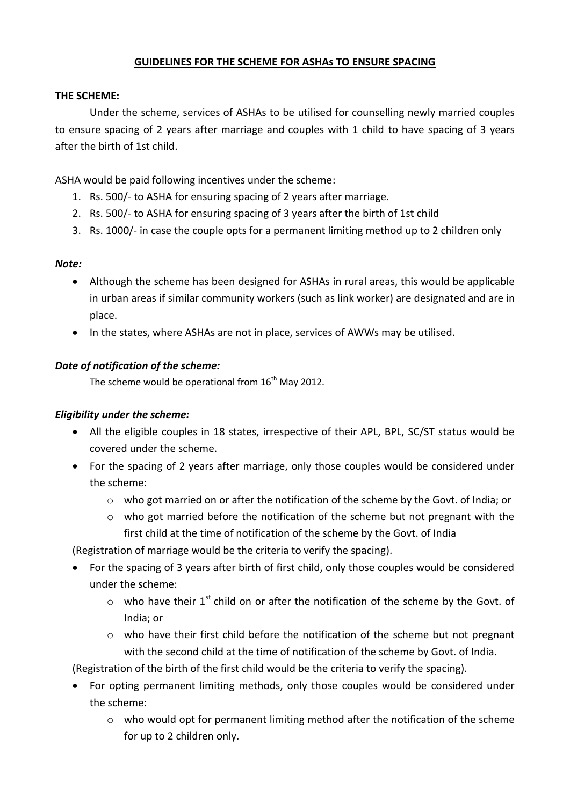# **GUIDELINES FOR THE SCHEME FOR ASHAs TO ENSURE SPACING**

#### **THE SCHEME:**

Under the scheme, services of ASHAs to be utilised for counselling newly married couples to ensure spacing of 2 years after marriage and couples with 1 child to have spacing of 3 years after the birth of 1st child.

ASHA would be paid following incentives under the scheme:

- 1. Rs. 500/- to ASHA for ensuring spacing of 2 years after marriage.
- 2. Rs. 500/- to ASHA for ensuring spacing of 3 years after the birth of 1st child
- 3. Rs. 1000/- in case the couple opts for a permanent limiting method up to 2 children only

# *Note:*

- Although the scheme has been designed for ASHAs in rural areas, this would be applicable in urban areas if similar community workers (such as link worker) are designated and are in place.
- In the states, where ASHAs are not in place, services of AWWs may be utilised.

# *Date of notification of the scheme:*

The scheme would be operational from  $16<sup>th</sup>$  Mav 2012.

# *Eligibility under the scheme:*

- All the eligible couples in 18 states, irrespective of their APL, BPL, SC/ST status would be covered under the scheme.
- For the spacing of 2 years after marriage, only those couples would be considered under the scheme:
	- o who got married on or after the notification of the scheme by the Govt. of India; or
	- o who got married before the notification of the scheme but not pregnant with the first child at the time of notification of the scheme by the Govt. of India

(Registration of marriage would be the criteria to verify the spacing).

- For the spacing of 3 years after birth of first child, only those couples would be considered under the scheme:
	- $\circ$  who have their 1<sup>st</sup> child on or after the notification of the scheme by the Govt. of India; or
	- $\circ$  who have their first child before the notification of the scheme but not pregnant with the second child at the time of notification of the scheme by Govt. of India.

(Registration of the birth of the first child would be the criteria to verify the spacing).

- For opting permanent limiting methods, only those couples would be considered under the scheme:
	- o who would opt for permanent limiting method after the notification of the scheme for up to 2 children only.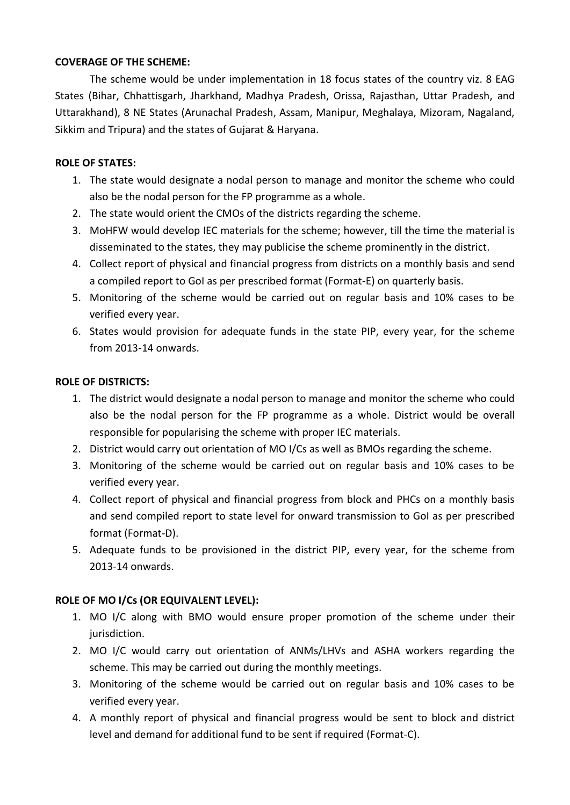## **COVERAGE OF THE SCHEME:**

The scheme would be under implementation in 18 focus states of the country viz. 8 EAG States (Bihar, Chhattisgarh, Jharkhand, Madhya Pradesh, Orissa, Rajasthan, Uttar Pradesh, and Uttarakhand), 8 NE States (Arunachal Pradesh, Assam, Manipur, Meghalaya, Mizoram, Nagaland, Sikkim and Tripura) and the states of Gujarat & Haryana.

## **ROLE OF STATES:**

- 1. The state would designate a nodal person to manage and monitor the scheme who could also be the nodal person for the FP programme as a whole.
- 2. The state would orient the CMOs of the districts regarding the scheme.
- 3. MoHFW would develop IEC materials for the scheme; however, till the time the material is disseminated to the states, they may publicise the scheme prominently in the district.
- 4. Collect report of physical and financial progress from districts on a monthly basis and send a compiled report to GoI as per prescribed format (Format-E) on quarterly basis.
- 5. Monitoring of the scheme would be carried out on regular basis and 10% cases to be verified every year.
- 6. States would provision for adequate funds in the state PIP, every year, for the scheme from 2013-14 onwards.

# **ROLE OF DISTRICTS:**

- 1. The district would designate a nodal person to manage and monitor the scheme who could also be the nodal person for the FP programme as a whole. District would be overall responsible for popularising the scheme with proper IEC materials.
- 2. District would carry out orientation of MO I/Cs as well as BMOs regarding the scheme.
- 3. Monitoring of the scheme would be carried out on regular basis and 10% cases to be verified every year.
- 4. Collect report of physical and financial progress from block and PHCs on a monthly basis and send compiled report to state level for onward transmission to GoI as per prescribed format (Format-D).
- 5. Adequate funds to be provisioned in the district PIP, every year, for the scheme from 2013-14 onwards.

# **ROLE OF MO I/Cs (OR EQUIVALENT LEVEL):**

- 1. MO I/C along with BMO would ensure proper promotion of the scheme under their jurisdiction.
- 2. MO I/C would carry out orientation of ANMs/LHVs and ASHA workers regarding the scheme. This may be carried out during the monthly meetings.
- 3. Monitoring of the scheme would be carried out on regular basis and 10% cases to be verified every year.
- 4. A monthly report of physical and financial progress would be sent to block and district level and demand for additional fund to be sent if required (Format-C).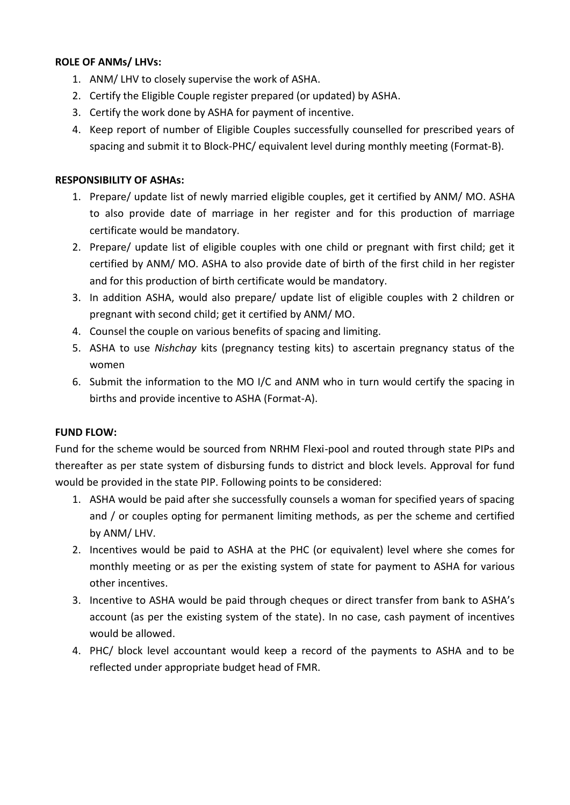### **ROLE OF ANMs/ LHVs:**

- 1. ANM/ LHV to closely supervise the work of ASHA.
- 2. Certify the Eligible Couple register prepared (or updated) by ASHA.
- 3. Certify the work done by ASHA for payment of incentive.
- 4. Keep report of number of Eligible Couples successfully counselled for prescribed years of spacing and submit it to Block-PHC/ equivalent level during monthly meeting (Format-B).

#### **RESPONSIBILITY OF ASHAs:**

- 1. Prepare/ update list of newly married eligible couples, get it certified by ANM/ MO. ASHA to also provide date of marriage in her register and for this production of marriage certificate would be mandatory.
- 2. Prepare/ update list of eligible couples with one child or pregnant with first child; get it certified by ANM/ MO. ASHA to also provide date of birth of the first child in her register and for this production of birth certificate would be mandatory.
- 3. In addition ASHA, would also prepare/ update list of eligible couples with 2 children or pregnant with second child; get it certified by ANM/ MO.
- 4. Counsel the couple on various benefits of spacing and limiting.
- 5. ASHA to use *Nishchay* kits (pregnancy testing kits) to ascertain pregnancy status of the women
- 6. Submit the information to the MO I/C and ANM who in turn would certify the spacing in births and provide incentive to ASHA (Format-A).

### **FUND FLOW:**

Fund for the scheme would be sourced from NRHM Flexi-pool and routed through state PIPs and thereafter as per state system of disbursing funds to district and block levels. Approval for fund would be provided in the state PIP. Following points to be considered:

- 1. ASHA would be paid after she successfully counsels a woman for specified years of spacing and / or couples opting for permanent limiting methods, as per the scheme and certified by ANM/ LHV.
- 2. Incentives would be paid to ASHA at the PHC (or equivalent) level where she comes for monthly meeting or as per the existing system of state for payment to ASHA for various other incentives.
- 3. Incentive to ASHA would be paid through cheques or direct transfer from bank to ASHA's account (as per the existing system of the state). In no case, cash payment of incentives would be allowed.
- 4. PHC/ block level accountant would keep a record of the payments to ASHA and to be reflected under appropriate budget head of FMR.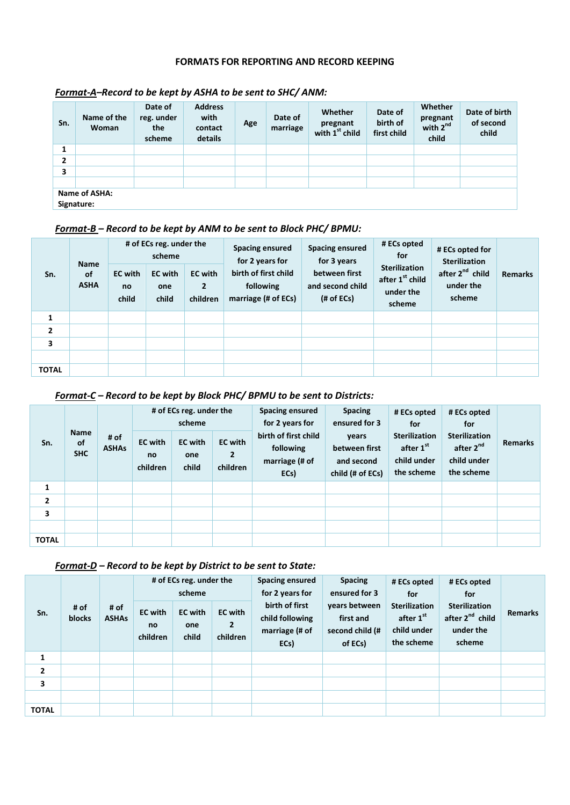#### **FORMATS FOR REPORTING AND RECORD KEEPING**

| Sn.     | Name of the<br>Woman        | Date of<br>reg. under<br>the<br>scheme | <b>Address</b><br>with<br>contact<br>details | Age | Date of<br>marriage | Whether<br>pregnant<br>with 1 <sup>st</sup> child | Date of<br>birth of<br>first child | Whether<br>pregnant<br>with $2^{nd}$<br>child | Date of birth<br>of second<br>child |  |  |
|---------|-----------------------------|----------------------------------------|----------------------------------------------|-----|---------------------|---------------------------------------------------|------------------------------------|-----------------------------------------------|-------------------------------------|--|--|
| 4<br>л. |                             |                                        |                                              |     |                     |                                                   |                                    |                                               |                                     |  |  |
| 2       |                             |                                        |                                              |     |                     |                                                   |                                    |                                               |                                     |  |  |
| 3       |                             |                                        |                                              |     |                     |                                                   |                                    |                                               |                                     |  |  |
|         |                             |                                        |                                              |     |                     |                                                   |                                    |                                               |                                     |  |  |
|         | Name of ASHA:<br>Signature: |                                        |                                              |     |                     |                                                   |                                    |                                               |                                     |  |  |

#### *Format-A–Record to be kept by ASHA to be sent to SHC/ ANM:*

## *Format-B – Record to be kept by ANM to be sent to Block PHC/ BPMU:*

| Sn.            | <b>Name</b><br>of<br><b>ASHA</b> | # of ECs reg. under the<br>scheme<br><b>EC</b> with<br><b>EC</b> with<br>no<br>one<br>child<br>child |  | <b>EC</b> with<br>$\overline{2}$<br>children | Spacing ensured<br>for 2 years for<br>birth of first child<br>following<br>marriage (# of ECs) | <b>Spacing ensured</b><br>for 3 years<br>between first<br>and second child<br>(# of ECs) | # ECs opted<br>for<br><b>Sterilization</b><br>after 1 <sup>st</sup> child<br>under the<br>scheme | # ECs opted for<br><b>Sterilization</b><br>after 2 <sup>nd</sup> child<br>under the<br>scheme | <b>Remarks</b> |
|----------------|----------------------------------|------------------------------------------------------------------------------------------------------|--|----------------------------------------------|------------------------------------------------------------------------------------------------|------------------------------------------------------------------------------------------|--------------------------------------------------------------------------------------------------|-----------------------------------------------------------------------------------------------|----------------|
| 1              |                                  |                                                                                                      |  |                                              |                                                                                                |                                                                                          |                                                                                                  |                                                                                               |                |
| $\overline{2}$ |                                  |                                                                                                      |  |                                              |                                                                                                |                                                                                          |                                                                                                  |                                                                                               |                |
| 3              |                                  |                                                                                                      |  |                                              |                                                                                                |                                                                                          |                                                                                                  |                                                                                               |                |
|                |                                  |                                                                                                      |  |                                              |                                                                                                |                                                                                          |                                                                                                  |                                                                                               |                |
| <b>TOTAL</b>   |                                  |                                                                                                      |  |                                              |                                                                                                |                                                                                          |                                                                                                  |                                                                                               |                |

#### *Format-C – Record to be kept by Block PHC/ BPMU to be sent to Districts:*

| Sn.            | <b>Name</b><br><b>of</b><br><b>SHC</b> | # of<br><b>ASHAs</b> | # of ECs reg. under the<br>scheme<br><b>EC</b> with<br><b>EC</b> with<br><b>EC</b> with<br>$\mathbf{2}$<br>one<br>no<br>child<br>children<br>children |  | <b>Spacing ensured</b><br>for 2 years for<br>birth of first child<br>following<br>marriage (# of<br>ECs) | <b>Spacing</b><br>ensured for 3<br>years<br>between first<br>and second<br>child (# of ECs) | # ECs opted<br>for<br><b>Sterilization</b><br>after 1st<br>child under<br>the scheme | # ECs opted<br>for<br><b>Sterilization</b><br>after 2 <sup>nd</sup><br>child under<br>the scheme | <b>Remarks</b> |  |
|----------------|----------------------------------------|----------------------|-------------------------------------------------------------------------------------------------------------------------------------------------------|--|----------------------------------------------------------------------------------------------------------|---------------------------------------------------------------------------------------------|--------------------------------------------------------------------------------------|--------------------------------------------------------------------------------------------------|----------------|--|
| $\mathbf{1}$   |                                        |                      |                                                                                                                                                       |  |                                                                                                          |                                                                                             |                                                                                      |                                                                                                  |                |  |
| $\overline{2}$ |                                        |                      |                                                                                                                                                       |  |                                                                                                          |                                                                                             |                                                                                      |                                                                                                  |                |  |
| 3              |                                        |                      |                                                                                                                                                       |  |                                                                                                          |                                                                                             |                                                                                      |                                                                                                  |                |  |
|                |                                        |                      |                                                                                                                                                       |  |                                                                                                          |                                                                                             |                                                                                      |                                                                                                  |                |  |
| <b>TOTAL</b>   |                                        |                      |                                                                                                                                                       |  |                                                                                                          |                                                                                             |                                                                                      |                                                                                                  |                |  |

#### *Format-D – Record to be kept by District to be sent to State:*

| Sn.            | # of<br>blocks | # of<br><b>ASHAs</b> | <b>EC</b> with<br><b>no</b><br>children | # of ECs reg. under the<br>scheme<br><b>EC</b> with<br>one<br>child | <b>EC</b> with<br>$\overline{2}$<br>children | Spacing ensured<br>for 2 years for<br>birth of first<br>child following<br>marriage (# of<br>ECs) | <b>Spacing</b><br>ensured for 3<br>years between<br>first and<br>second child (#<br>of ECs) | # ECs opted<br>for<br><b>Sterilization</b><br>after 1st<br>child under<br>the scheme | # ECs opted<br>for<br><b>Sterilization</b><br>after 2 <sup>nd</sup> child<br>under the<br>scheme | <b>Remarks</b> |
|----------------|----------------|----------------------|-----------------------------------------|---------------------------------------------------------------------|----------------------------------------------|---------------------------------------------------------------------------------------------------|---------------------------------------------------------------------------------------------|--------------------------------------------------------------------------------------|--------------------------------------------------------------------------------------------------|----------------|
| 1              |                |                      |                                         |                                                                     |                                              |                                                                                                   |                                                                                             |                                                                                      |                                                                                                  |                |
| $\overline{2}$ |                |                      |                                         |                                                                     |                                              |                                                                                                   |                                                                                             |                                                                                      |                                                                                                  |                |
| 3              |                |                      |                                         |                                                                     |                                              |                                                                                                   |                                                                                             |                                                                                      |                                                                                                  |                |
|                |                |                      |                                         |                                                                     |                                              |                                                                                                   |                                                                                             |                                                                                      |                                                                                                  |                |
| <b>TOTAL</b>   |                |                      |                                         |                                                                     |                                              |                                                                                                   |                                                                                             |                                                                                      |                                                                                                  |                |